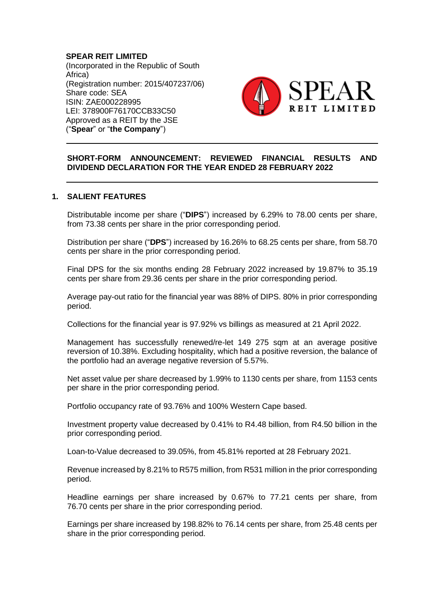# **SPEAR REIT LIMITED**

(Incorporated in the Republic of South Africa) (Registration number: 2015/407237/06) Share code: SEA ISIN: ZAE000228995 LEI: 378900F76170CCB33C50 Approved as a REIT by the JSE ("**Spear**" or "**the Company**")



## **SHORT-FORM ANNOUNCEMENT: REVIEWED FINANCIAL RESULTS AND DIVIDEND DECLARATION FOR THE YEAR ENDED 28 FEBRUARY 2022**

#### **1. SALIENT FEATURES**

Distributable income per share ("**DIPS**") increased by 6.29% to 78.00 cents per share, from 73.38 cents per share in the prior corresponding period.

Distribution per share ("**DPS**") increased by 16.26% to 68.25 cents per share, from 58.70 cents per share in the prior corresponding period.

Final DPS for the six months ending 28 February 2022 increased by 19.87% to 35.19 cents per share from 29.36 cents per share in the prior corresponding period.

Average pay-out ratio for the financial year was 88% of DIPS. 80% in prior corresponding period.

Collections for the financial year is 97.92% vs billings as measured at 21 April 2022.

Management has successfully renewed/re-let 149 275 sqm at an average positive reversion of 10.38%. Excluding hospitality, which had a positive reversion, the balance of the portfolio had an average negative reversion of 5.57%.

Net asset value per share decreased by 1.99% to 1130 cents per share, from 1153 cents per share in the prior corresponding period.

Portfolio occupancy rate of 93.76% and 100% Western Cape based.

Investment property value decreased by 0.41% to R4.48 billion, from R4.50 billion in the prior corresponding period.

Loan-to-Value decreased to 39.05%, from 45.81% reported at 28 February 2021.

Revenue increased by 8.21% to R575 million, from R531 million in the prior corresponding period.

Headline earnings per share increased by 0.67% to 77.21 cents per share, from 76.70 cents per share in the prior corresponding period.

Earnings per share increased by 198.82% to 76.14 cents per share, from 25.48 cents per share in the prior corresponding period.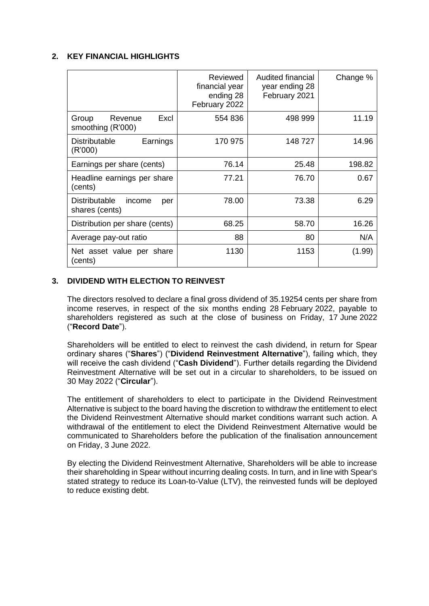## **2. KEY FINANCIAL HIGHLIGHTS**

|                                                         | Reviewed<br>financial year<br>ending 28<br>February 2022 | Audited financial<br>year ending 28<br>February 2021 | Change % |
|---------------------------------------------------------|----------------------------------------------------------|------------------------------------------------------|----------|
| Excl<br>Revenue<br>Group<br>smoothing (R'000)           | 554 836                                                  | 498 999                                              | 11.19    |
| <b>Distributable</b><br>Earnings<br>(R'000)             | 170 975                                                  | 148 727                                              | 14.96    |
| Earnings per share (cents)                              | 76.14                                                    | 25.48                                                | 198.82   |
| Headline earnings per share<br>(cents)                  | 77.21                                                    | 76.70                                                | 0.67     |
| <b>Distributable</b><br>income<br>per<br>shares (cents) | 78.00                                                    | 73.38                                                | 6.29     |
| Distribution per share (cents)                          | 68.25                                                    | 58.70                                                | 16.26    |
| Average pay-out ratio                                   | 88                                                       | 80                                                   | N/A      |
| Net asset value per share<br>(cents)                    | 1130                                                     | 1153                                                 | (1.99)   |

## **3. DIVIDEND WITH ELECTION TO REINVEST**

The directors resolved to declare a final gross dividend of 35.19254 cents per share from income reserves, in respect of the six months ending 28 February 2022, payable to shareholders registered as such at the close of business on Friday, 17 June 2022 ("**Record Date**").

Shareholders will be entitled to elect to reinvest the cash dividend, in return for Spear ordinary shares ("**Shares**") ("**Dividend Reinvestment Alternative**"), failing which, they will receive the cash dividend ("**Cash Dividend**"). Further details regarding the Dividend Reinvestment Alternative will be set out in a circular to shareholders, to be issued on 30 May 2022 ("**Circular**").

The entitlement of shareholders to elect to participate in the Dividend Reinvestment Alternative is subject to the board having the discretion to withdraw the entitlement to elect the Dividend Reinvestment Alternative should market conditions warrant such action. A withdrawal of the entitlement to elect the Dividend Reinvestment Alternative would be communicated to Shareholders before the publication of the finalisation announcement on Friday, 3 June 2022.

By electing the Dividend Reinvestment Alternative, Shareholders will be able to increase their shareholding in Spear without incurring dealing costs. In turn, and in line with Spear's stated strategy to reduce its Loan-to-Value (LTV), the reinvested funds will be deployed to reduce existing debt.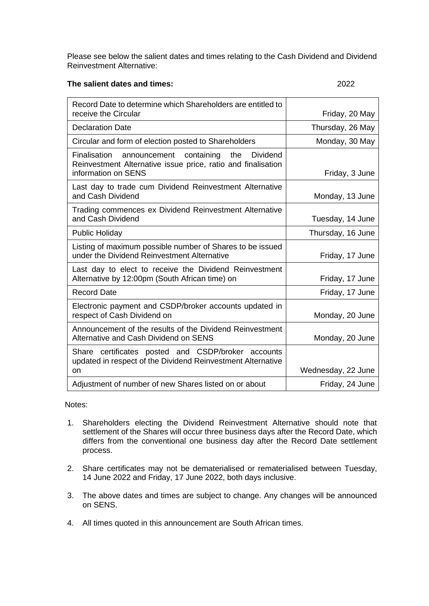Please see below the salient dates and times relating to the Cash Dividend and Dividend Reinvestment Alternative:

## **The salient dates and times:** 2022

| Record Date to determine which Shareholders are entitled to                                                                                              |                    |
|----------------------------------------------------------------------------------------------------------------------------------------------------------|--------------------|
| receive the Circular                                                                                                                                     | Friday, 20 May     |
| <b>Declaration Date</b>                                                                                                                                  | Thursday, 26 May   |
| Circular and form of election posted to Shareholders                                                                                                     | Monday, 30 May     |
| Finalisation<br>announcement containing<br>the<br><b>Dividend</b><br>Reinvestment Alternative issue price, ratio and finalisation<br>information on SENS | Friday, 3 June     |
| Last day to trade cum Dividend Reinvestment Alternative<br>and Cash Dividend                                                                             | Monday, 13 June    |
| Trading commences ex Dividend Reinvestment Alternative<br>and Cash Dividend                                                                              | Tuesday, 14 June   |
| <b>Public Holiday</b>                                                                                                                                    | Thursday, 16 June  |
| Listing of maximum possible number of Shares to be issued<br>under the Dividend Reinvestment Alternative                                                 | Friday, 17 June    |
| Last day to elect to receive the Dividend Reinvestment<br>Alternative by 12:00pm (South African time) on                                                 | Friday, 17 June    |
| <b>Record Date</b>                                                                                                                                       | Friday, 17 June    |
| Electronic payment and CSDP/broker accounts updated in<br>respect of Cash Dividend on                                                                    | Monday, 20 June    |
| Announcement of the results of the Dividend Reinvestment<br>Alternative and Cash Dividend on SENS                                                        | Monday, 20 June    |
| Share certificates posted and CSDP/broker accounts<br>updated in respect of the Dividend Reinvestment Alternative<br><b>on</b>                           | Wednesday, 22 June |
| Adjustment of number of new Shares listed on or about                                                                                                    | Friday, 24 June    |

Notes:

- 1. Shareholders electing the Dividend Reinvestment Alternative should note that settlement of the Shares will occur three business days after the Record Date, which differs from the conventional one business day after the Record Date settlement process.
- 2. Share certificates may not be dematerialised or rematerialised between Tuesday, 14 June 2022 and Friday, 17 June 2022, both days inclusive.
- 3. The above dates and times are subject to change. Any changes will be announced on SENS.
- 4. All times quoted in this announcement are South African times.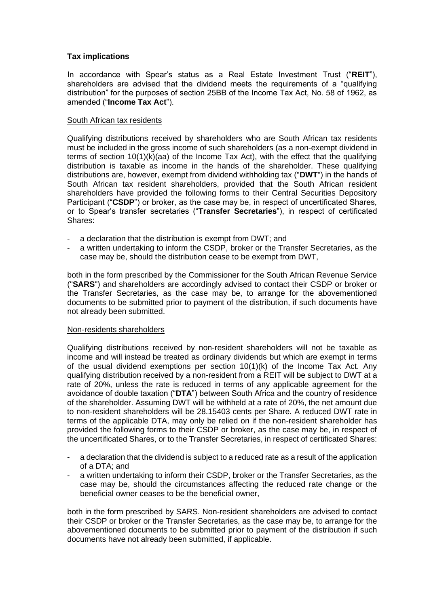### **Tax implications**

In accordance with Spear's status as a Real Estate Investment Trust ("**REIT**"), shareholders are advised that the dividend meets the requirements of a "qualifying distribution" for the purposes of section 25BB of the Income Tax Act, No. 58 of 1962, as amended ("**Income Tax Act**").

#### South African tax residents

Qualifying distributions received by shareholders who are South African tax residents must be included in the gross income of such shareholders (as a non-exempt dividend in terms of section 10(1)(k)(aa) of the Income Tax Act), with the effect that the qualifying distribution is taxable as income in the hands of the shareholder. These qualifying distributions are, however, exempt from dividend withholding tax ("**DWT**") in the hands of South African tax resident shareholders, provided that the South African resident shareholders have provided the following forms to their Central Securities Depository Participant ("**CSDP**") or broker, as the case may be, in respect of uncertificated Shares, or to Spear's transfer secretaries ("**Transfer Secretaries**"), in respect of certificated Shares:

- a declaration that the distribution is exempt from DWT; and
- a written undertaking to inform the CSDP, broker or the Transfer Secretaries, as the case may be, should the distribution cease to be exempt from DWT,

both in the form prescribed by the Commissioner for the South African Revenue Service ("**SARS**") and shareholders are accordingly advised to contact their CSDP or broker or the Transfer Secretaries, as the case may be, to arrange for the abovementioned documents to be submitted prior to payment of the distribution, if such documents have not already been submitted.

#### Non-residents shareholders

Qualifying distributions received by non-resident shareholders will not be taxable as income and will instead be treated as ordinary dividends but which are exempt in terms of the usual dividend exemptions per section 10(1)(k) of the Income Tax Act. Any qualifying distribution received by a non-resident from a REIT will be subject to DWT at a rate of 20%, unless the rate is reduced in terms of any applicable agreement for the avoidance of double taxation ("**DTA**") between South Africa and the country of residence of the shareholder. Assuming DWT will be withheld at a rate of 20%, the net amount due to non-resident shareholders will be 28.15403 cents per Share. A reduced DWT rate in terms of the applicable DTA, may only be relied on if the non-resident shareholder has provided the following forms to their CSDP or broker, as the case may be, in respect of the uncertificated Shares, or to the Transfer Secretaries, in respect of certificated Shares:

- a declaration that the dividend is subject to a reduced rate as a result of the application of a DTA; and
- a written undertaking to inform their CSDP, broker or the Transfer Secretaries, as the case may be, should the circumstances affecting the reduced rate change or the beneficial owner ceases to be the beneficial owner,

both in the form prescribed by SARS. Non-resident shareholders are advised to contact their CSDP or broker or the Transfer Secretaries, as the case may be, to arrange for the abovementioned documents to be submitted prior to payment of the distribution if such documents have not already been submitted, if applicable.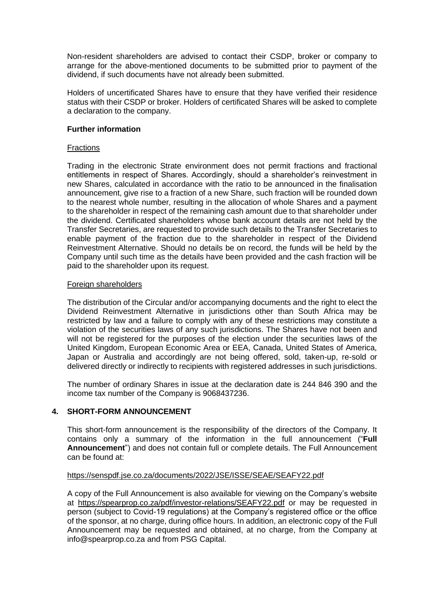Non-resident shareholders are advised to contact their CSDP, broker or company to arrange for the above-mentioned documents to be submitted prior to payment of the dividend, if such documents have not already been submitted.

Holders of uncertificated Shares have to ensure that they have verified their residence status with their CSDP or broker. Holders of certificated Shares will be asked to complete a declaration to the company.

### **Further information**

### **Fractions**

Trading in the electronic Strate environment does not permit fractions and fractional entitlements in respect of Shares. Accordingly, should a shareholder's reinvestment in new Shares, calculated in accordance with the ratio to be announced in the finalisation announcement, give rise to a fraction of a new Share, such fraction will be rounded down to the nearest whole number, resulting in the allocation of whole Shares and a payment to the shareholder in respect of the remaining cash amount due to that shareholder under the dividend. Certificated shareholders whose bank account details are not held by the Transfer Secretaries, are requested to provide such details to the Transfer Secretaries to enable payment of the fraction due to the shareholder in respect of the Dividend Reinvestment Alternative. Should no details be on record, the funds will be held by the Company until such time as the details have been provided and the cash fraction will be paid to the shareholder upon its request.

### Foreign shareholders

The distribution of the Circular and/or accompanying documents and the right to elect the Dividend Reinvestment Alternative in jurisdictions other than South Africa may be restricted by law and a failure to comply with any of these restrictions may constitute a violation of the securities laws of any such jurisdictions. The Shares have not been and will not be registered for the purposes of the election under the securities laws of the United Kingdom, European Economic Area or EEA, Canada, United States of America, Japan or Australia and accordingly are not being offered, sold, taken-up, re-sold or delivered directly or indirectly to recipients with registered addresses in such jurisdictions.

The number of ordinary Shares in issue at the declaration date is 244 846 390 and the income tax number of the Company is 9068437236.

## **4. SHORT-FORM ANNOUNCEMENT**

This short-form announcement is the responsibility of the directors of the Company. It contains only a summary of the information in the full announcement ("**Full Announcement**") and does not contain full or complete details. The Full Announcement can be found at:

## <https://senspdf.jse.co.za/documents/2022/JSE/ISSE/SEAE/SEAFY22.pdf>

A copy of the Full Announcement is also available for viewing on the Company's website at <https://spearprop.co.za/pdf/investor-relations/SEAFY22.pdf> or may be requested in person (subject to Covid-19 regulations) at the Company's registered office or the office of the sponsor, at no charge, during office hours. In addition, an electronic copy of the Full Announcement may be requested and obtained, at no charge, from the Company at info@spearprop.co.za and from PSG Capital.